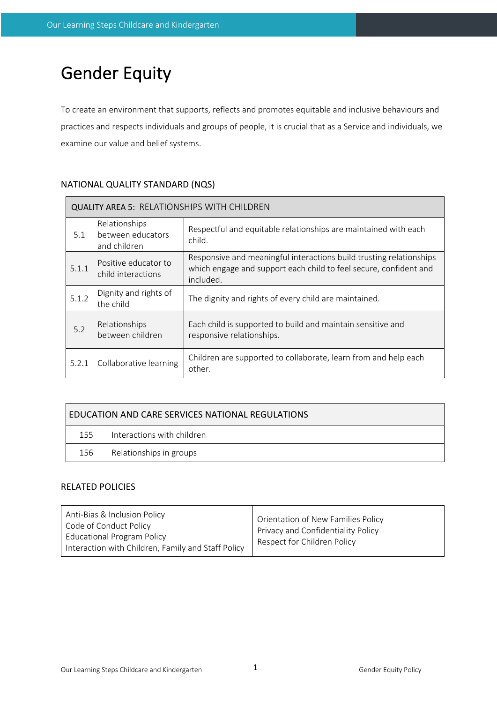# Gender Equity

To create an environment that supports, reflects and promotes equitable and inclusive behaviours and practices and respects individuals and groups of people, it is crucial that as a Service and individuals, we examine our value and belief systems.

# NATIONAL QUALITY STANDARD (NQS)

 $\blacksquare$ 

| <b>QUALITY AREA 5: RELATIONSHIPS WITH CHILDREN</b> |                                                    |                                                                                                                                                       |  |  |  |
|----------------------------------------------------|----------------------------------------------------|-------------------------------------------------------------------------------------------------------------------------------------------------------|--|--|--|
| 5.1                                                | Relationships<br>between educators<br>and children | Respectful and equitable relationships are maintained with each<br>child.                                                                             |  |  |  |
| 5.1.1                                              | Positive educator to<br>child interactions         | Responsive and meaningful interactions build trusting relationships<br>which engage and support each child to feel secure, confident and<br>included. |  |  |  |
| 5.1.2                                              | Dignity and rights of<br>the child                 | The dignity and rights of every child are maintained.                                                                                                 |  |  |  |
| 5.2                                                | Relationships<br>between children                  | Each child is supported to build and maintain sensitive and<br>responsive relationships.                                                              |  |  |  |
| 5.2.1                                              | Collaborative learning                             | Children are supported to collaborate, learn from and help each<br>other.                                                                             |  |  |  |

| EDUCATION AND CARE SERVICES NATIONAL REGULATIONS |                            |  |  |  |
|--------------------------------------------------|----------------------------|--|--|--|
| 155                                              | Interactions with children |  |  |  |
| 156                                              | Relationships in groups    |  |  |  |

# RELATED POLICIES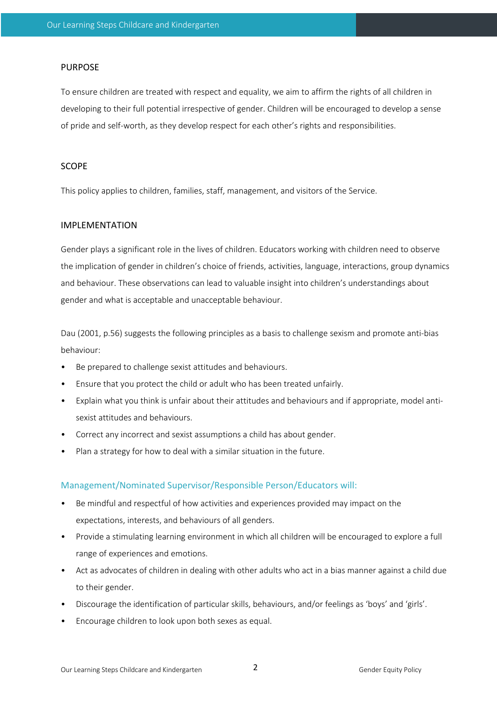## PURPOSE

To ensure children are treated with respect and equality, we aim to affirm the rights of all children in developing to their full potential irrespective of gender. Children will be encouraged to develop a sense of pride and self-worth, as they develop respect for each other's rights and responsibilities.

#### SCOPE

This policy applies to children, families, staff, management, and visitors of the Service.

## IMPLEMENTATION

Gender plays a significant role in the lives of children. Educators working with children need to observe the implication of gender in children's choice of friends, activities, language, interactions, group dynamics and behaviour. These observations can lead to valuable insight into children's understandings about gender and what is acceptable and unacceptable behaviour.

Dau (2001, p.56) suggests the following principles as a basis to challenge sexism and promote anti-bias behaviour:

- Be prepared to challenge sexist attitudes and behaviours.
- Ensure that you protect the child or adult who has been treated unfairly.
- Explain what you think is unfair about their attitudes and behaviours and if appropriate, model antisexist attitudes and behaviours.
- Correct any incorrect and sexist assumptions a child has about gender.
- Plan a strategy for how to deal with a similar situation in the future.

#### Management/Nominated Supervisor/Responsible Person/Educators will:

- Be mindful and respectful of how activities and experiences provided may impact on the expectations, interests, and behaviours of all genders.
- Provide a stimulating learning environment in which all children will be encouraged to explore a full range of experiences and emotions.
- Act as advocates of children in dealing with other adults who act in a bias manner against a child due to their gender.
- Discourage the identification of particular skills, behaviours, and/or feelings as 'boys' and 'girls'.
- Encourage children to look upon both sexes as equal.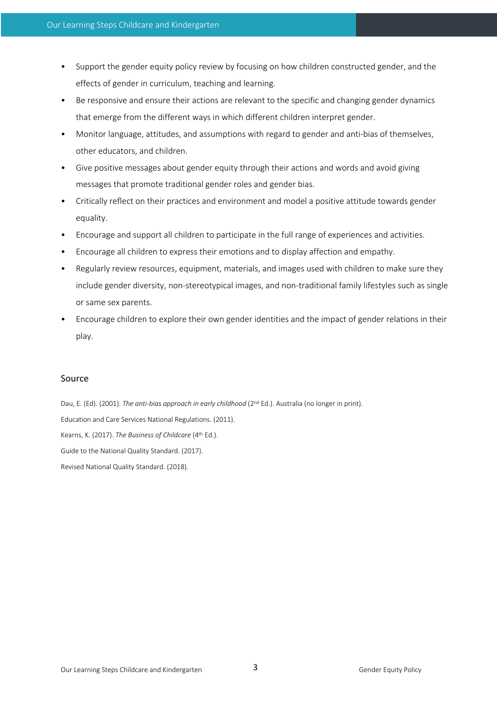- Support the gender equity policy review by focusing on how children constructed gender, and the effects of gender in curriculum, teaching and learning.
- Be responsive and ensure their actions are relevant to the specific and changing gender dynamics that emerge from the different ways in which different children interpret gender.
- Monitor language, attitudes, and assumptions with regard to gender and anti-bias of themselves, other educators, and children.
- Give positive messages about gender equity through their actions and words and avoid giving messages that promote traditional gender roles and gender bias.
- Critically reflect on their practices and environment and model a positive attitude towards gender equality.
- Encourage and support all children to participate in the full range of experiences and activities.
- Encourage all children to express their emotions and to display affection and empathy.
- Regularly review resources, equipment, materials, and images used with children to make sure they include gender diversity, non-stereotypical images, and non-traditional family lifestyles such as single or same sex parents.
- Encourage children to explore their own gender identities and the impact of gender relations in their play.

# Source

Dau, E. (Ed). (2001). *The anti-bias approach in early childhood* (2<sup>nd</sup> Ed.). Australia (no longer in print). Education and Care Services National Regulations. (2011). Kearns, K. (2017). *The Business of Childcare* (4th Ed.). Guide to the National Quality Standard. (2017). Revised National Quality Standard. (2018).